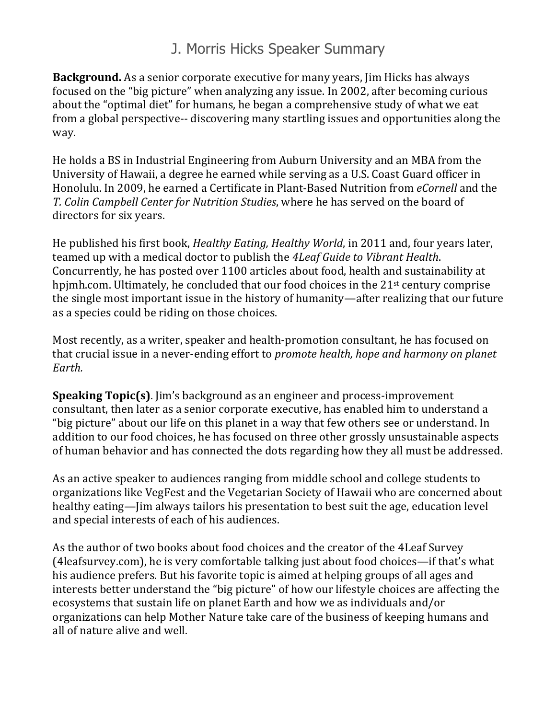## J. Morris Hicks Speaker Summary

**Background.** As a senior corporate executive for many years, I im Hicks has always focused on the "big picture" when analyzing any issue. In 2002, after becoming curious about the "optimal diet" for humans, he began a comprehensive study of what we eat from a global perspective-- discovering many startling issues and opportunities along the way. 

He holds a BS in Industrial Engineering from Auburn University and an MBA from the University of Hawaii, a degree he earned while serving as a U.S. Coast Guard officer in Honolulu. In 2009, he earned a Certificate in Plant-Based Nutrition from *eCornell* and the *T. Colin Campbell Center for Nutrition Studies*, where he has served on the board of directors for six years.

He published his first book, *Healthy Eating, Healthy World*, in 2011 and, four years later, teamed up with a medical doctor to publish the 4Leaf Guide to Vibrant Health. Concurrently, he has posted over 1100 articles about food, health and sustainability at hpjmh.com. Ultimately, he concluded that our food choices in the  $21<sup>st</sup>$  century comprise the single most important issue in the history of humanity—after realizing that our future as a species could be riding on those choices.

Most recently, as a writer, speaker and health-promotion consultant, he has focused on that crucial issue in a never-ending effort to *promote health, hope and harmony on planet Earth.*

**Speaking Topic(s)**. Jim's background as an engineer and process-improvement consultant, then later as a senior corporate executive, has enabled him to understand a "big picture" about our life on this planet in a way that few others see or understand. In addition to our food choices, he has focused on three other grossly unsustainable aspects of human behavior and has connected the dots regarding how they all must be addressed.

As an active speaker to audiences ranging from middle school and college students to organizations like VegFest and the Vegetarian Society of Hawaii who are concerned about healthy eating—Jim always tailors his presentation to best suit the age, education level and special interests of each of his audiences.

As the author of two books about food choices and the creator of the 4Leaf Survey (4leafsurvey.com), he is very comfortable talking just about food choices—if that's what his audience prefers. But his favorite topic is aimed at helping groups of all ages and interests better understand the "big picture" of how our lifestyle choices are affecting the ecosystems that sustain life on planet Earth and how we as individuals and/or organizations can help Mother Nature take care of the business of keeping humans and all of nature alive and well.